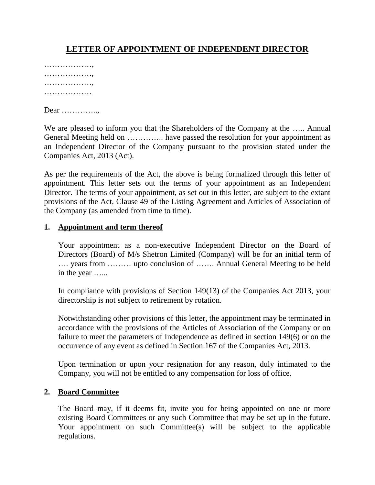# **LETTER OF APPOINTMENT OF INDEPENDENT DIRECTOR**

………………, ………………, ………………, ………………

Dear …………..,

We are pleased to inform you that the Shareholders of the Company at the ..... Annual General Meeting held on ………….. have passed the resolution for your appointment as an Independent Director of the Company pursuant to the provision stated under the Companies Act, 2013 (Act).

As per the requirements of the Act, the above is being formalized through this letter of appointment. This letter sets out the terms of your appointment as an Independent Director. The terms of your appointment, as set out in this letter, are subject to the extant provisions of the Act, Clause 49 of the Listing Agreement and Articles of Association of the Company (as amended from time to time).

#### **1. Appointment and term thereof**

Your appointment as a non-executive Independent Director on the Board of Directors (Board) of M/s Shetron Limited (Company) will be for an initial term of …. years from ……… upto conclusion of ……. Annual General Meeting to be held in the year …...

In compliance with provisions of Section 149(13) of the Companies Act 2013, your directorship is not subject to retirement by rotation.

Notwithstanding other provisions of this letter, the appointment may be terminated in accordance with the provisions of the Articles of Association of the Company or on failure to meet the parameters of Independence as defined in section 149(6) or on the occurrence of any event as defined in Section 167 of the Companies Act, 2013.

Upon termination or upon your resignation for any reason, duly intimated to the Company, you will not be entitled to any compensation for loss of office.

#### **2. Board Committee**

The Board may, if it deems fit, invite you for being appointed on one or more existing Board Committees or any such Committee that may be set up in the future. Your appointment on such Committee(s) will be subject to the applicable regulations.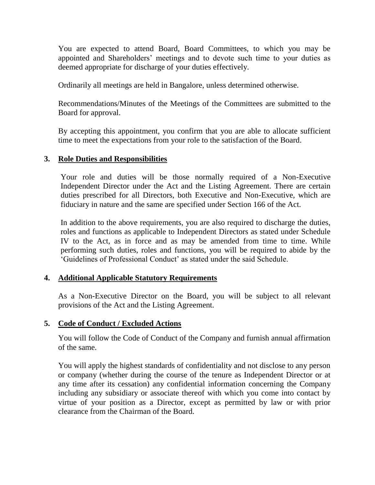You are expected to attend Board, Board Committees, to which you may be appointed and Shareholders" meetings and to devote such time to your duties as deemed appropriate for discharge of your duties effectively.

Ordinarily all meetings are held in Bangalore, unless determined otherwise.

Recommendations/Minutes of the Meetings of the Committees are submitted to the Board for approval.

By accepting this appointment, you confirm that you are able to allocate sufficient time to meet the expectations from your role to the satisfaction of the Board.

## **3. Role Duties and Responsibilities**

Your role and duties will be those normally required of a Non-Executive Independent Director under the Act and the Listing Agreement. There are certain duties prescribed for all Directors, both Executive and Non-Executive, which are fiduciary in nature and the same are specified under Section 166 of the Act.

In addition to the above requirements, you are also required to discharge the duties, roles and functions as applicable to Independent Directors as stated under Schedule IV to the Act, as in force and as may be amended from time to time. While performing such duties, roles and functions, you will be required to abide by the "Guidelines of Professional Conduct" as stated under the said Schedule.

### **4. Additional Applicable Statutory Requirements**

As a Non-Executive Director on the Board, you will be subject to all relevant provisions of the Act and the Listing Agreement.

## **5. Code of Conduct / Excluded Actions**

You will follow the Code of Conduct of the Company and furnish annual affirmation of the same.

You will apply the highest standards of confidentiality and not disclose to any person or company (whether during the course of the tenure as Independent Director or at any time after its cessation) any confidential information concerning the Company including any subsidiary or associate thereof with which you come into contact by virtue of your position as a Director, except as permitted by law or with prior clearance from the Chairman of the Board.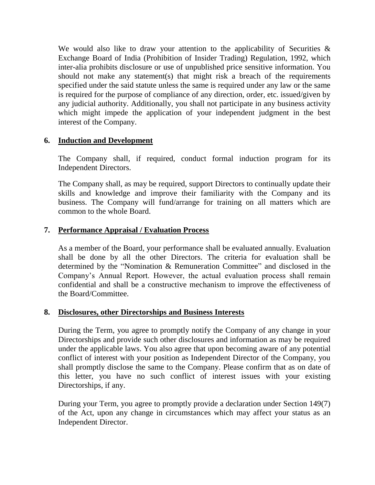We would also like to draw your attention to the applicability of Securities  $\&$ Exchange Board of India (Prohibition of Insider Trading) Regulation, 1992, which inter-alia prohibits disclosure or use of unpublished price sensitive information. You should not make any statement(s) that might risk a breach of the requirements specified under the said statute unless the same is required under any law or the same is required for the purpose of compliance of any direction, order, etc. issued/given by any judicial authority. Additionally, you shall not participate in any business activity which might impede the application of your independent judgment in the best interest of the Company.

## **6. Induction and Development**

The Company shall, if required, conduct formal induction program for its Independent Directors.

The Company shall, as may be required, support Directors to continually update their skills and knowledge and improve their familiarity with the Company and its business. The Company will fund/arrange for training on all matters which are common to the whole Board.

## **7. Performance Appraisal / Evaluation Process**

As a member of the Board, your performance shall be evaluated annually. Evaluation shall be done by all the other Directors. The criteria for evaluation shall be determined by the "Nomination & Remuneration Committee" and disclosed in the Company"s Annual Report. However, the actual evaluation process shall remain confidential and shall be a constructive mechanism to improve the effectiveness of the Board/Committee.

### **8. Disclosures, other Directorships and Business Interests**

During the Term, you agree to promptly notify the Company of any change in your Directorships and provide such other disclosures and information as may be required under the applicable laws. You also agree that upon becoming aware of any potential conflict of interest with your position as Independent Director of the Company, you shall promptly disclose the same to the Company. Please confirm that as on date of this letter, you have no such conflict of interest issues with your existing Directorships, if any.

During your Term, you agree to promptly provide a declaration under Section 149(7) of the Act, upon any change in circumstances which may affect your status as an Independent Director.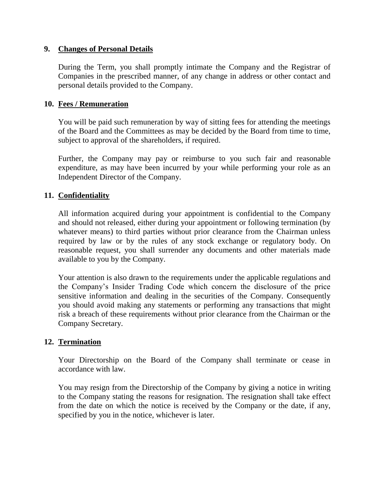#### **9. Changes of Personal Details**

During the Term, you shall promptly intimate the Company and the Registrar of Companies in the prescribed manner, of any change in address or other contact and personal details provided to the Company.

#### **10. Fees / Remuneration**

You will be paid such remuneration by way of sitting fees for attending the meetings of the Board and the Committees as may be decided by the Board from time to time, subject to approval of the shareholders, if required.

Further, the Company may pay or reimburse to you such fair and reasonable expenditure, as may have been incurred by your while performing your role as an Independent Director of the Company.

#### **11. Confidentiality**

All information acquired during your appointment is confidential to the Company and should not released, either during your appointment or following termination (by whatever means) to third parties without prior clearance from the Chairman unless required by law or by the rules of any stock exchange or regulatory body. On reasonable request, you shall surrender any documents and other materials made available to you by the Company.

Your attention is also drawn to the requirements under the applicable regulations and the Company"s Insider Trading Code which concern the disclosure of the price sensitive information and dealing in the securities of the Company. Consequently you should avoid making any statements or performing any transactions that might risk a breach of these requirements without prior clearance from the Chairman or the Company Secretary.

### **12. Termination**

Your Directorship on the Board of the Company shall terminate or cease in accordance with law.

You may resign from the Directorship of the Company by giving a notice in writing to the Company stating the reasons for resignation. The resignation shall take effect from the date on which the notice is received by the Company or the date, if any, specified by you in the notice, whichever is later.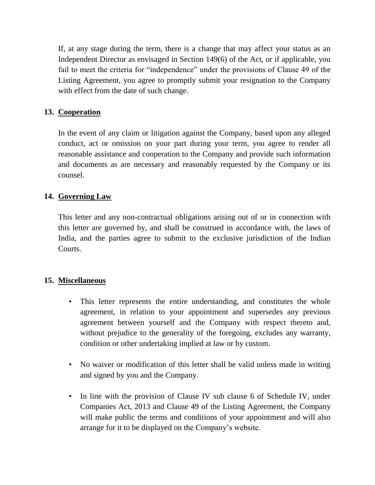If, at any stage during the term, there is a change that may affect your status as an Independent Director as envisaged in Section 149(6) of the Act, or if applicable, you fail to meet the criteria for "independence" under the provisions of Clause 49 of the Listing Agreement, you agree to promptly submit your resignation to the Company with effect from the date of such change.

# **13. Cooperation**

In the event of any claim or litigation against the Company, based upon any alleged conduct, act or omission on your part during your term, you agree to render all reasonable assistance and cooperation to the Company and provide such information and documents as are necessary and reasonably requested by the Company or its counsel.

# **14. Governing Law**

This letter and any non-contractual obligations arising out of or in connection with this letter are governed by, and shall be construed in accordance with, the laws of India, and the parties agree to submit to the exclusive jurisdiction of the Indian Courts.

## **15. Miscellaneous**

- This letter represents the entire understanding, and constitutes the whole agreement, in relation to your appointment and supersedes any previous agreement between yourself and the Company with respect thereto and, without prejudice to the generality of the foregoing, excludes any warranty, condition or other undertaking implied at law or by custom.
- No waiver or modification of this letter shall be valid unless made in writing and signed by you and the Company.
- In line with the provision of Clause IV sub clause 6 of Schedule IV, under Companies Act, 2013 and Clause 49 of the Listing Agreement, the Company will make public the terms and conditions of your appointment and will also arrange for it to be displayed on the Company"s website.